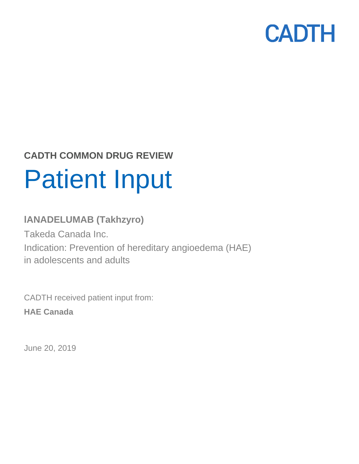

# **CADTH COMMON DRUG REVIEW** Patient Input

### **lANADELUMAB (Takhzyro)**

Takeda Canada Inc. Indication: Prevention of hereditary angioedema (HAE) in adolescents and adults

CADTH received patient input from: **HAE Canada**

June 20, 2019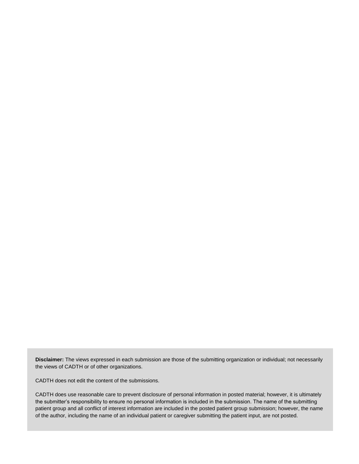**Disclaimer:** The views expressed in each submission are those of the submitting organization or individual; not necessarily the views of CADTH or of other organizations.

CADTH does not edit the content of the submissions.

CADTH does use reasonable care to prevent disclosure of personal information in posted material; however, it is ultimately the submitter's responsibility to ensure no personal information is included in the submission. The name of the submitting patient group and all conflict of interest information are included in the posted patient group submission; however, the name of the author, including the name of an individual patient or caregiver submitting the patient input, are not posted.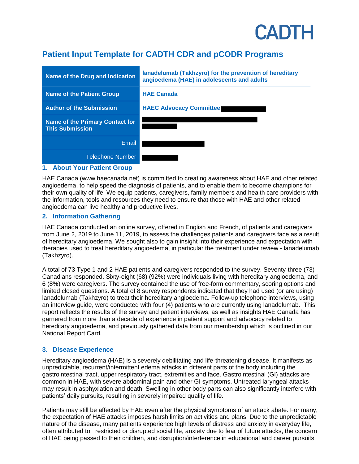## **CADTH**

### **Patient Input Template for CADTH CDR and pCODR Programs**

| Name of the Drug and Indication                           | lanadelumab (Takhzyro) for the prevention of hereditary<br>angioedema (HAE) in adolescents and adults |
|-----------------------------------------------------------|-------------------------------------------------------------------------------------------------------|
| <b>Name of the Patient Group</b>                          | <b>HAE Canada</b>                                                                                     |
| <b>Author of the Submission</b>                           | <b>HAEC Advocacy Committee</b>                                                                        |
| Name of the Primary Contact for<br><b>This Submission</b> |                                                                                                       |
| Email                                                     |                                                                                                       |
| <b>Telephone Number</b>                                   |                                                                                                       |

#### **1. About Your Patient Group**

HAE Canada (www.haecanada.net) is committed to creating awareness about HAE and other related angioedema, to help speed the diagnosis of patients, and to enable them to become champions for their own quality of life. We equip patients, caregivers, family members and health care providers with the information, tools and resources they need to ensure that those with HAE and other related angioedema can live healthy and productive lives.

#### **2. Information Gathering**

HAE Canada conducted an online survey, offered in English and French, of patients and caregivers from June 2, 2019 to June 11, 2019, to assess the challenges patients and caregivers face as a result of hereditary angioedema. We sought also to gain insight into their experience and expectation with therapies used to treat hereditary angioedema, in particular the treatment under review - lanadelumab (Takhzyro).

A total of 73 Type 1 and 2 HAE patients and caregivers responded to the survey. Seventy-three (73) Canadians responded. Sixty-eight (68) (92%) were individuals living with hereditary angioedema, and 6 (8%) were caregivers. The survey contained the use of free-form commentary, scoring options and limited closed questions. A total of 8 survey respondents indicated that they had used (or are using) lanadelumab (Takhzyro) to treat their hereditary angioedema. Follow-up telephone interviews, using an interview guide, were conducted with four (4) patients who are currently using lanadelumab. This report reflects the results of the survey and patient interviews, as well as insights HAE Canada has garnered from more than a decade of experience in patient support and advocacy related to hereditary angioedema, and previously gathered data from our membership which is outlined in our National Report Card.

#### **3. Disease Experience**

Hereditary angioedema (HAE) is a severely debilitating and life-threatening disease. It manifests as unpredictable, recurrent/intermittent edema attacks in different parts of the body including the gastrointestinal tract, upper respiratory tract, extremities and face. Gastrointestinal (GI) attacks are common in HAE, with severe abdominal pain and other GI symptoms. Untreated laryngeal attacks may result in asphyxiation and death. Swelling in other body parts can also significantly interfere with patients' daily pursuits, resulting in severely impaired quality of life.

Patients may still be affected by HAE even after the physical symptoms of an attack abate. For many, the expectation of HAE attacks imposes harsh limits on activities and plans. Due to the unpredictable nature of the disease, many patients experience high levels of distress and anxiety in everyday life, often attributed to: restricted or disrupted social life, anxiety due to fear of future attacks, the concern of HAE being passed to their children, and disruption/interference in educational and career pursuits.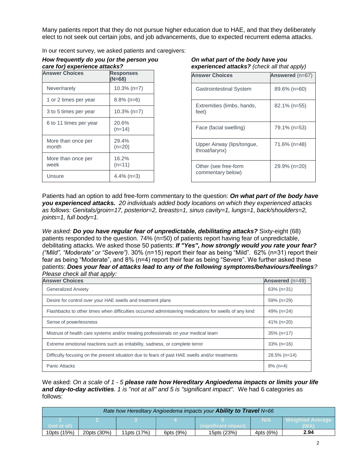Many patients report that they do not pursue higher education due to HAE, and that they deliberately elect to not seek out certain jobs, and job advancements, due to expected recurrent edema attacks.

In our recent survey, we asked patients and caregivers:

| How frequently do you (or the person you |  |
|------------------------------------------|--|
| care for) experience attacks?            |  |

| <b>Answer Choices</b>       | <b>Responses</b><br>$(N=68)$ |
|-----------------------------|------------------------------|
| Never/rarely                | $10.3\%$ (n=7)               |
| 1 or 2 times per year       | $8.8\%$ (n=6)                |
| 3 to 5 times per year       | $10.3\%$ (n=7)               |
| 6 to 11 times per year      | 20.6%<br>$(n=14)$            |
| More than once per<br>month | 29.4%<br>$(n=20)$            |
| More than once per<br>week  | 16.2%<br>$(n=11)$            |
| Unsure                      | $4.4\%$ (n=3)                |

*On what part of the body have you experienced attacks? (check all that apply)*

| <b>Answer Choices</b>                        | Answered (n=67) |
|----------------------------------------------|-----------------|
| <b>Gastrointestinal System</b>               | 89.6% (n=60)    |
| Extremities (limbs, hands,<br>feet)          | 82.1% (n=55)    |
| Face (facial swelling)                       | 79.1% (n=53)    |
| Upper Airway (lips/tongue,<br>throat/larynx) | 71.6% (n=48)    |
| Other (see free-form<br>commentary below)    | 29.9% (n=20)    |

Patients had an option to add free-form commentary to the question: *On what part of the body have you experienced attacks. 20 individuals added body locations on which they experienced attacks as follows: Genitals/groin=17, posterior=2, breasts=1, sinus cavity=1, lungs=1, back/shoulders=2, joints=1, full body=1.*

*We asked: Do you have regular fear of unpredictable, debilitating attacks?* Sixty-eight (68) patients responded to the question. 74% (n=50) of patients report having fear of unpredictable, debilitating attacks. We asked those 50 patients: *If "Yes", how strongly would you rate your fear? ("Mild", "Moderate" or "Severe")*. 30% (n=15) report their fear as being "Mild". 62% (n=31) report their fear as being "Moderate", and 8% (n=4) report their fear as being "Severe". We further asked these patients: *Does your fear of attacks lead to any of the following symptoms/behaviours/feelings? Please check all that apply:*

| <b>Answer Choices</b>                                                                                 | Answered (n=49) |
|-------------------------------------------------------------------------------------------------------|-----------------|
| <b>Generalized Anxiety</b>                                                                            | $63\%$ (n=31)   |
| Desire for control over your HAE swells and treatment plans                                           | 59% (n=29)      |
| Flashbacks to other times when difficulties occurred administering medications for swells of any kind | 49% (n=24)      |
| Sense of powerlessness                                                                                | 41% (n=20)      |
| Mistrust of health care systems and/or treating professionals on your medical team                    | $35\%$ (n=17)   |
| Extreme emotional reactions such as irritability, sadness, or complete terror                         | $33\%$ (n=16)   |
| Difficulty focusing on the present situation due to fears of past HAE swells and/or treatments        | $28.5\%$ (n=14) |
| Panic Attacks                                                                                         | $8\%$ (n=4)     |

We asked: *On a scale of 1 - 5 please rate how Hereditary Angioedema impacts or limits your life and day-to-day activities. 1 is "not at all" and 5 is "significant impact".* We had 6 categories as follows:

| Rate how Hereditary Angioedema impacts your <b>Ability to Travel</b> N=66 |             |             |           |                      |           |                         |  |  |
|---------------------------------------------------------------------------|-------------|-------------|-----------|----------------------|-----------|-------------------------|--|--|
|                                                                           |             |             |           |                      | N/A       | <b>Weighted Average</b> |  |  |
| (not at all)                                                              |             |             |           | (significant impact) |           | (WA)                    |  |  |
| 10pts (15%)                                                               | 20pts (30%) | 11pts (17%) | 6pts (9%) | 15pts (23%)          | 4pts (6%) | 2.94                    |  |  |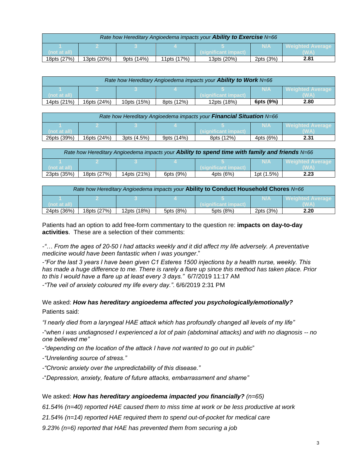| Rate how Hereditary Angioedema impacts your <b>Ability to Exercise</b> N=66 |             |            |             |                       |            |                         |  |  |
|-----------------------------------------------------------------------------|-------------|------------|-------------|-----------------------|------------|-------------------------|--|--|
|                                                                             |             |            |             |                       | <b>N/A</b> | <b>Neighted Average</b> |  |  |
| (not at all)                                                                |             |            |             | (significant impact). |            |                         |  |  |
| 18pts (27%)                                                                 | 13pts (20%) | 9pts (14%) | 11pts (17%) | 13pts (20%)           | 2pts (3%)  | 2.81                    |  |  |

| Rate how Hereditary Angioedema impacts your <b>Ability to Work</b> N=66 |             |             |            |                     |           |                         |  |  |
|-------------------------------------------------------------------------|-------------|-------------|------------|---------------------|-----------|-------------------------|--|--|
|                                                                         |             |             |            |                     | N/A       | <b>Weighted Average</b> |  |  |
| (not at all)                                                            |             |             |            | significant impact) |           | WA)                     |  |  |
| 14pts (21%)                                                             | 16pts (24%) | 10pts (15%) | 8pts (12%) | 12pts (18%)         | 6pts (9%) | 2.80                    |  |  |

| Rate how Hereditary Angioedema impacts your Financial Situation N=66 |             |             |            |                      |           |                    |  |  |
|----------------------------------------------------------------------|-------------|-------------|------------|----------------------|-----------|--------------------|--|--|
|                                                                      |             |             |            |                      | N/A       | l Weighted Average |  |  |
| (not at all)                                                         |             |             |            | (significant impact) |           |                    |  |  |
| 26pts (39%)                                                          | 16pts (24%) | 3pts (4.5%) | 9pts (14%) | 8pts (12%)           | 4pts (6%) | 2.31               |  |  |

| Rate how Hereditary Angioedema impacts your Ability to spend time with family and friends N=66 |             |             |           |                      |            |                           |  |  |
|------------------------------------------------------------------------------------------------|-------------|-------------|-----------|----------------------|------------|---------------------------|--|--|
|                                                                                                |             |             |           |                      | <b>N/A</b> | <b>I</b> Weighted Average |  |  |
| (not at all)                                                                                   |             |             |           | (significant impact) |            | WA.                       |  |  |
| 23pts (35%)                                                                                    | 18pts (27%) | 14pts (21%) | 6pts (9%) | 4pts (6%)            | 1pt (1.5%) | 2.23                      |  |  |

| Rate how Hereditary Angioedema impacts your Ability to Conduct Household Chores N=66 |             |             |           |                     |           |                           |  |  |
|--------------------------------------------------------------------------------------|-------------|-------------|-----------|---------------------|-----------|---------------------------|--|--|
|                                                                                      |             |             |           |                     | N/A       | <b>Neighted Average 1</b> |  |  |
| (not at all)                                                                         |             |             |           | significant impact) |           |                           |  |  |
| 24pts (36%)                                                                          | 18pts (27%) | 12pts (18%) | 5pts (8%) | 5pts (8%)           | 2pts (3%) | 2.20                      |  |  |

Patients had an option to add free-form commentary to the question re: **impacts on day-to-day activities**. These are a selection of their comments:

*-"… From the ages of 20-50 I had attacks weekly and it did affect my life adversely. A preventative medicine would have been fantastic when I was younger*."

*-"For the last 3 years I have been given C1 Esteres 1500 injections by a health nurse, weekly. This has made a huge difference to me. There is rarely a flare up since this method has taken place. Prior to this I would have a flare up at least every 3 days."* 6/7/2019 11:17 AM

*-"The veil of anxiety coloured my life every day."*. 6/6/2019 2:31 PM

We asked: *How has hereditary angioedema affected you psychologically/emotionally?* Patients said:

*"I nearly died from a laryngeal HAE attack which has profoundly changed all levels of my life"*

-"*when i was undiagnosed I experienced a lot of pain (abdominal attacks) and with no diagnosis -- no one believed me"* 

- *-"depending on the location of the attack I have not wanted to go out in public*"
- *-"Unrelenting source of stress."*
- *-"Chronic anxiety over the unpredictability of this disease."*
- -"*Depression, anxiety, feature of future attacks, embarrassment and shame"*

#### We asked: *How has hereditary angioedema impacted you financially? (n=65)*

*61.54% (n=40) reported HAE caused them to miss time at work or be less productive at work* 

*21.54% (n=14) reported HAE required them to spend out-of-pocket for medical care* 

*9.23% (n=6) reported that HAE has prevented them from securing a job*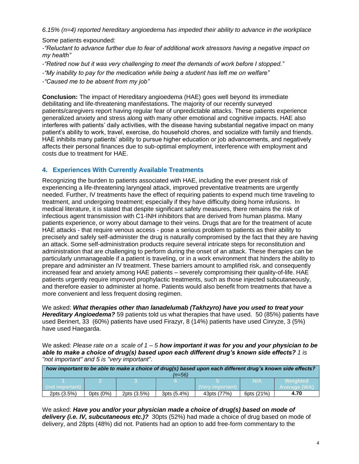*6.15% (n=4) reported hereditary angioedema has impeded their ability to advance in the workplace* 

Some patients expounded:

*-"Reluctant to advance further due to fear of additional work stressors having a negative impact on my health"*

- -*"Retired now but it was very challenging to meet the demands of work before I stopped."*
- *-"My inability to pay for the medication while being a student has left me on welfare"*
- *-"Caused me to be absent from my job"*

**Conclusion:** The impact of Hereditary angioedema (HAE) goes well beyond its immediate debilitating and life-threatening manifestations. The majority of our recently surveyed patients/caregivers report having regular fear of unpredictable attacks. These patients experience generalized anxiety and stress along with many other emotional and cognitive impacts. HAE also interferes with patients' daily activities, with the disease having substantial negative impact on many patient's ability to work, travel, exercise, do household chores, and socialize with family and friends. HAE inhibits many patients' ability to pursue higher education or job advancements, and negatively affects their personal finances due to sub-optimal employment, interference with employment and costs due to treatment for HAE.

#### **4. Experiences With Currently Available Treatments**

Recognizing the burden to patients associated with HAE, including the ever present risk of experiencing a life-threatening laryngeal attack, improved preventative treatments are urgently needed. Further, IV treatments have the effect of requiring patients to expend much time traveling to treatment, and undergoing treatment; especially if they have difficulty doing home infusions. In medical literature, it is stated that despite significant safety measures, there remains the risk of infectious agent transmission with C1-INH inhibitors that are derived from human plasma. Many patients experience, or worry about damage to their veins. Drugs that are for the treatment of acute HAE attacks - that require venous access - pose a serious problem to patients as their ability to precisely and safely self-administer the drug is naturally compromised by the fact that they are having an attack. Some self-administration products require several intricate steps for reconstitution and administration that are challenging to perform during the onset of an attack. These therapies can be particularly unmanageable if a patient is traveling, or in a work environment that hinders the ability to prepare and administer an IV treatment. These barriers amount to amplified risk, and consequently increased fear and anxiety among HAE patients – severely compromising their quality-of-life. HAE patients urgently require improved prophylactic treatments, such as those injected subcutaneously, and therefore easier to administer at home. Patients would also benefit from treatments that have a more convenient and less frequent dosing regimen.

We asked: *What therapies other than lanadelumab (Takhzyro) have you used to treat your Hereditary Angioedema?* 59 patients told us what therapies that have used. 50 (85%) patients have used Berinert, 33 (60%) patients have used Firazyr, 8 (14%) patients have used Cinryze, 3 (5%) have used Haegarda.

We asked: *Please rate on a scale of 1 – 5 how important it was for you and your physician to be able to make a choice of drug(s) based upon each different drug's known side effects? 1 is "not important" and 5 is "very important".*

| how important to be able to make a choice of drug(s) based upon each different drug's known side effects?<br>(n=56) |              |             |             |                  |            |                    |  |
|---------------------------------------------------------------------------------------------------------------------|--------------|-------------|-------------|------------------|------------|--------------------|--|
|                                                                                                                     |              |             |             |                  | N/A        | <b>Weighted</b>    |  |
| (not important)                                                                                                     |              |             |             | (Very important) |            | <b>Average (WA</b> |  |
| 2pts (3.5%)                                                                                                         | Opts $(0\%)$ | 2pts (3.5%) | 3pts (5.4%) | 43pts (77%)      | 6pts (21%) | 4.70               |  |

We asked: *Have you and/or your physician made a choice of drug(s) based on mode of delivery (i.e. IV, subcutaneous etc.)?* 30pts (52%) had made a choice of drug based on mode of delivery, and 28pts (48%) did not. Patients had an option to add free-form commentary to the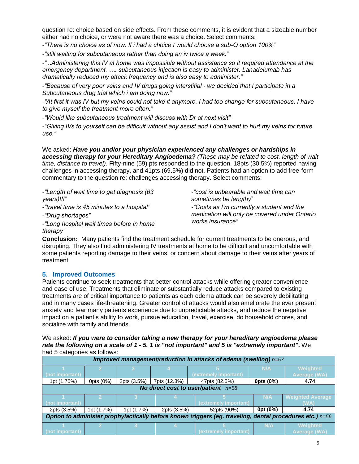question re: choice based on side effects. From these comments, it is evident that a sizeable number either had no choice, or were not aware there was a choice. Select comments:

*-"There is no choice as of now. If i had a choice I would choose a sub-Q option 100%"*

*-"still waiting for subcutaneous rather than doing an iv twice a week."*

*-"...Administering this IV at home was impossible without assistance so it required attendance at the emergency department. …. subcutaneous injection is easy to administer. Lanadelumab has dramatically reduced my attack frequency and is also easy to administer."*

*-"Because of very poor veins and IV drugs going interstitial - we decided that I participate in a Subcutaneous drug trial which i am doing now."*

*-"At first it was IV but my veins could not take it anymore. I had too change for subcutaneous. I have to give myself the treatment more often."*

*-"Would like subcutaneous treatment will discuss with Dr at next visit"*

*-"Giving IVs to yourself can be difficult without any assist and I don't want to hurt my veins for future use."*

We asked: *Have you and/or your physician experienced any challenges or hardships in accessing therapy for your Hereditary Angioedema? (These may be related to cost, length of wait time, distance to travel)*. Fifty-nine (59) pts responded to the question. 18pts (30.5%) reported having challenges in accessing therapy, and 41pts (69.5%) did not. Patients had an option to add free-form commentary to the question re: challenges accessing therapy. Select comments:

*-"Length of wait time to get diagnosis (63 years)!!!"*

*-"travel time is 45 minutes to a hospital"* 

*-"Drug shortages"*

*-"Long hospital wait times before in home therapy"*

*-"cost is unbearable and wait time can sometimes be lengthy*" *-"Costs as I'm currently a student and the* 

*medication will only be covered under Ontario works insurance"*

**Conclusion:** Many patients find the treatment schedule for current treatments to be onerous, and disrupting. They also find administering IV treatments at home to be difficult and uncomfortable with some patients reporting damage to their veins, or concern about damage to their veins after years of treatment.

#### **5. Improved Outcomes**

Patients continue to seek treatments that better control attacks while offering greater convenience and ease of use. Treatments that eliminate or substantially reduce attacks compared to existing treatments are of critical importance to patients as each edema attack can be severely debilitating and in many cases life-threatening. Greater control of attacks would also ameliorate the ever present anxiety and fear many patients experience due to unpredictable attacks, and reduce the negative impact on a patient's ability to work, pursue education, travel, exercise, do household chores, and socialize with family and friends.

We asked: *If you were to consider taking a new therapy for your hereditary angioedema please rate the following on a scale of 1 - 5. 1 is "not important" and 5 is "extremely important"***.** We had 5 categories as follows:

| Improved management/reduction in attacks of edema (swelling) n=57                                        |            |              |              |                       |           |                                        |  |
|----------------------------------------------------------------------------------------------------------|------------|--------------|--------------|-----------------------|-----------|----------------------------------------|--|
| (not important)                                                                                          |            |              |              | (extremely important) | N/A       | <b>Weighted</b><br><b>Average (WA)</b> |  |
| 1pt (1.75%)                                                                                              | Opts (0%)  | 2pts (3.5%)  | 7pts (12.3%) | 47pts (82.5%)         | 0pts (0%) | 4.74                                   |  |
| No direct cost to user/patient $n=58$                                                                    |            |              |              |                       |           |                                        |  |
|                                                                                                          | N/A        |              |              |                       |           | <b>Weighted Average</b>                |  |
| (not important)                                                                                          |            |              |              | (extremely important) |           | (WA)                                   |  |
| 2pts (3.5%)                                                                                              | 1pt (1.7%) | 1pt $(1.7%)$ | 2pts (3.5%)  | 52pts (90%)           | Opt (0%)  | 4.74                                   |  |
| Option to administer prophylactically before known triggers (eg. traveling, dental procedures etc.) n=56 |            |              |              |                       |           |                                        |  |
| (not important)                                                                                          |            |              |              | (extremely important) | N/A       | <b>Weighted</b><br><b>Average (WA)</b> |  |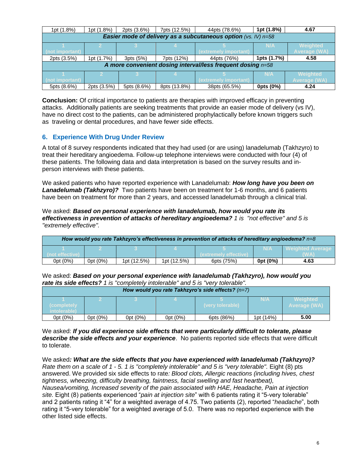| 1pt (1.8%)                                                     | 1pt (1.8%)  | 2pts (3.6%) | 7pts (12.5%) | 44pts (78.6%)         | 1pt (1.8%)  | 4.67                |  |
|----------------------------------------------------------------|-------------|-------------|--------------|-----------------------|-------------|---------------------|--|
| Easier mode of delivery as a subcutaneous option (vs. IV) n=58 |             |             |              |                       |             |                     |  |
| <b>Weighted</b><br>N/A                                         |             |             |              |                       |             |                     |  |
| (not important)                                                |             |             |              | (extremely important) |             | <b>Average (WA)</b> |  |
| 2pts (3.5%)                                                    | 1pt (1.7%)  | 3pts (5%)   | 7pts (12%)   | 44pts (76%)           | 1pts (1.7%) | 4.58                |  |
| A more convenient dosing interval/less frequent dosing n=58    |             |             |              |                       |             |                     |  |
|                                                                |             |             |              |                       | N/A         | <b>Weighted</b>     |  |
| (not important)                                                |             |             |              | (extremely important) |             | <b>Average (WA)</b> |  |
| 5pts (8.6%)                                                    | 2pts (3.5%) | 5pts (8.6%) | 8pts (13.8%) | 38pts (65.5%)         | 0pts (0%)   | 4.24                |  |

**Conclusion:** Of critical importance to patients are therapies with improved efficacy in preventing attacks. Additionally patients are seeking treatments that provide an easier mode of delivery (vs IV), have no direct cost to the patients, can be administered prophylactically before known triggers such as traveling or dental procedures, and have fewer side effects.

#### **6. Experience With Drug Under Review**

A total of 8 survey respondents indicated that they had used (or are using) lanadelumab (Takhzyro) to treat their hereditary angioedema. Follow-up telephone interviews were conducted with four (4) of these patients. The following data and data interpretation is based on the survey results and inperson interviews with these patients.

We asked patients who have reported experience with Lanadelumab: *How long have you been on Lanadelumab (Takhzyro)?* Two patients have been on treatment for 1-6 months, and 6 patients have been on treatment for more than 2 years, and accessed lanadelumab through a clinical trial.

#### We asked: *Based on personal experience with lanadelumab, how would you rate its effectiveness in prevention of attacks of hereditary angioedema? 1 is "not effective" and 5 is "extremely effective".*

| How would you rate Takhzyro's effectiveness in prevention of attacks of hereditary angioedema? $n=8$ |          |             |             |                        |          |                           |  |
|------------------------------------------------------------------------------------------------------|----------|-------------|-------------|------------------------|----------|---------------------------|--|
|                                                                                                      |          |             |             |                        | N/A      | <b>I</b> Weighted Average |  |
| (not effective)                                                                                      |          |             |             | (extremely ettective). |          | <b>WA</b>                 |  |
| Opt (0%)                                                                                             | Opt (0%) | 1pt (12.5%) | 1pt (12.5%) | 6pts (75%)             | 0pt (0%) | 4.63                      |  |

We asked: *Based on your personal experience with lanadelumab (Takhzyro), how would you rate its side effects? 1 is "completely intolerable" and 5 is "very tolerable".*

| How would you rate Takhzyro's side effects? $(n=7)$ |          |          |          |                  |           |                          |  |
|-----------------------------------------------------|----------|----------|----------|------------------|-----------|--------------------------|--|
| (completely)<br>intolerable)                        |          |          |          | (very tolerable) | N/A       | Weighted<br>Average (WA) |  |
| 0pt (0%)                                            | Opt (0%) | Opt (0%) | Opt (0%) | 6pts (86%)       | 1pt (14%) | 5.00                     |  |

We asked: *If you did experience side effects that were particularly difficult to tolerate, please describe the side effects and your experience*. No patients reported side effects that were difficult to tolerate.

We asked*: What are the side effects that you have experienced with lanadelumab (Takhzyro)? Rate them on a scale of 1 - 5. 1 is "completely intolerable" and 5 is "very tolerable".* Eight (8) pts answered. We provided six side effects to rate*: Blood clots, Allergic reactions (including hives, chest tightness, wheezing, difficulty breathing, faintness, facial swelling and fast heartbeat), Nausea/vomiting, Increased severity of the pain associated with HAE, Headache, Pain at injection site.* Eight (8) patients experienced "*pain at injection site*" with 6 patients rating it "5-very tolerable" and 2 patients rating it "4" for a weighted average of 4.75. Two patients (2), reported "*headache*", both rating it "5-very tolerable" for a weighted average of 5.0. There was no reported experience with the other listed side effects.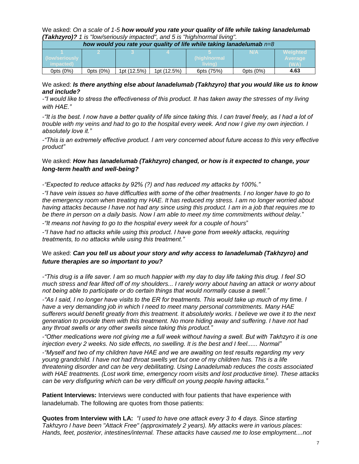We asked: *On a scale of 1-5 how would you rate your quality of life while taking lanadelumab (Takhzyro)? 1 is "low/seriously impacted", and 5 is "high/normal living".*

| how would you rate your quality of life while taking lanadelumab $n=8$ |           |             |             |                         |              |                                           |  |
|------------------------------------------------------------------------|-----------|-------------|-------------|-------------------------|--------------|-------------------------------------------|--|
| ow/seriouslv I<br>impacted)                                            |           |             |             | (high/normal<br>living) | N/A          | <b>Weighted</b><br><b>Average</b><br>(WA) |  |
| Opts (0%)                                                              | Opts (0%) | 1pt (12.5%) | 1pt (12.5%) | 6pts (75%)              | Opts $(0\%)$ | 4.63                                      |  |

We asked: *Is there anything else about lanadelumab (Takhzyro) that you would like us to know and include?*

*-"I would like to stress the effectiveness of this product. It has taken away the stresses of my living with HAE."*

*-"It is the best. I now have a better quality of life since taking this. I can travel freely, as I had a lot of trouble with my veins and had to go to the hospital every week. And now I give my own injection. I absolutely love it."*

*-"This is an extremely effective product. I am very concerned about future access to this very effective product"*

#### We asked: *How has lanadelumab (Takhzyro) changed, or how is it expected to change, your long-term health and well-being?*

*-"Expected to reduce attacks by 92% (?) and has reduced my attacks by 100%."*

*-"I have vein issues so have difficulties with some of the other treatments. I no longer have to go to the emergency room when treating my HAE. It has reduced my stress. I am no longer worried about having attacks because I have not had any since using this product. I am in a job that requires me to be there in person on a daily basis. Now I am able to meet my time commitments without delay.*"

*-"It means not having to go to the hospital every week for a couple of hours*"

*-"I have had no attacks while using this product. I have gone from weekly attacks, requiring treatments, to no attacks while using this treatment."*

#### We asked: *Can you tell us about your story and why access to lanadelumab (Takhzyro) and future therapies are so important to you?*

*-"This drug is a life saver. I am so much happier with my day to day life taking this drug. I feel SO much stress and fear lifted off of my shoulders... I rarely worry about having an attack or worry about not being able to participate or do certain things that would normally cause a swell."*

*-"As I said, I no longer have visits to the ER for treatments. This would take up much of my time. I have a very demanding job in which I need to meet many personal commitments. Many HAE sufferers would benefit greatly from this treatment. It absolutely works. I believe we owe it to the next generation to provide them with this treatment. No more hiding away and suffering. I have not had any throat swells or any other swells since taking this product."*

*-"Other medications were not giving me a full week without having a swell. But with Takhzyro it is one injection every 2 weeks. No side effects, no swelling. It is the best and I feel...... Normal"*

*-"Myself and two of my children have HAE and we are awaiting on test results regarding my very young grandchild. I have not had throat swells yet but one of my children has. This is a life threatening disorder and can be very debilitating. Using Lanadelumab reduces the costs associated with HAE treatments. (Lost work time, emergency room visits and lost productive time). These attacks can be very disfiguring which can be very difficult on young people having attacks."*

**Patient Interviews:** Interviews were conducted with four patients that have experience with lanadelumab. The following are quotes from those patients:

**Quotes from Interview with LA:** *"I used to have one attack every 3 to 4 days. Since starting Takhzyro I have been "Attack Free" (approximately 2 years). My attacks were in various places: Hands, feet, posterior, intestines/internal. These attacks have caused me to lose employment....not*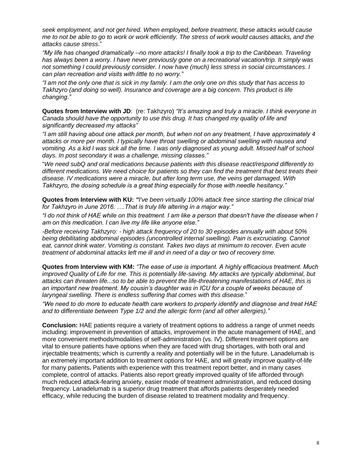*seek employment, and not get hired. When employed, before treatment, these attacks would cause me to not be able to go to work or work efficiently. The stress of work would causes attacks, and the attacks cause stress*."

*"My life has changed dramatically --no more attacks! I finally took a trip to the Caribbean. Traveling has always been a worry. I have never previously gone on a recreational vacation/trip. It simply was not something I could previously consider. I now have (much) less stress in social circumstances. I can plan recreation and visits with little to no worry."*

*"I am not the only one that is sick in my family. I am the only one on this study that has access to Takhzyro (and doing so well). Insurance and coverage are a big concern. This product is life changing."* 

**Quotes from Interview with JD**: (re: Takhzyro) *"It's amazing and truly a miracle. I think everyone in Canada should have the opportunity to use this drug. It has changed my quality of life and significantly decreased my attacks"*

*"I am still having about one attack per month, but when not on any treatment, I have approximately 4 attacks or more per month. I typically have throat swelling or abdominal swelling with nausea and vomiting. As a kid I was sick all the time. I was only diagnosed as young adult. Missed half of school days. In post secondary it was a challenge, missing classes."*

"*We need subQ and oral medications because patients with this disease react/respond differently to different medications. We need choice for patients so they can find the treatment that best treats their disease. IV medications were a miracle, but after long term use, the veins get damaged. With Takhzyro, the dosing schedule is a great thing especially for those with needle hesitancy."* 

**Quotes from Interview with KU:** *"I've been virtually 100% attack free since starting the clinical trial for Takhzyro in June 2016. ….That is truly life altering in a major way."*

*"I do not think of HAE while on this treatment. I am like a person that doesn't have the disease when I am on this medication. I can live my life like anyone else."*

*-Before receiving Takhzyro: - high attack frequency of 20 to 30 episodes annually with about 50% being debilitating abdominal episodes (uncontrolled internal swelling). Pain is excruciating. Cannot eat, cannot drink water. Vomiting is constant. Takes two days at minimum to recover. Even acute treatment of abdominal attacks left me ill and in need of a day or two of recovery time.* 

**Quotes from Interview with KM:** *"The ease of use is important. A highly efficacious treatment. Much improved Quality of Life for me. This is potentially life-saving. My attacks are typically abdominal, but attacks can threaten life...so to be able to prevent the life-threatening manifestations of HAE, this is an important new treatment. My cousin's daughter was in ICU for a couple of weeks because of laryngeal swelling. There is endless suffering that comes with this disease.*"

*"We need to do more to educate health care workers to properly identify and diagnose and treat HAE and to differentiate between Type 1/2 and the allergic form (and all other allergies)."* 

**Conclusion:** HAE patients require a variety of treatment options to address a range of unmet needs including: improvement in prevention of attacks, improvement in the acute management of HAE, and more convenient methods/modalities of self-administration (vs. IV). Different treatment options are vital to ensure patients have options when they are faced with drug shortages, with both oral and injectable treatments; which is currently a reality and potentially will be in the future. Lanadelumab is an extremely important addition to treatment options for HAE, and will greatly improve quality-of-life for many patients**.** Patients with experience with this treatment report better, and in many cases complete, control of attacks. Patients also report greatly improved quality of life afforded through much reduced attack-fearing anxiety, easier mode of treatment administration, and reduced dosing frequency. Lanadelumab is a superior drug treatment that affords patients desperately needed efficacy, while reducing the burden of disease related to treatment modality and frequency.